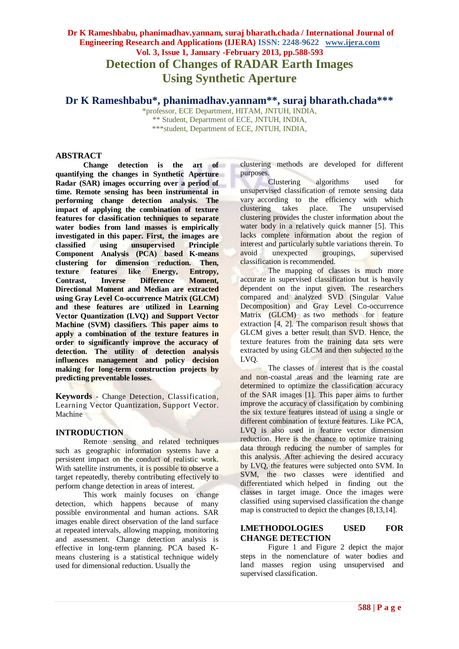# **Dr K Rameshbabu, phanimadhav.yannam, suraj bharath.chada / International Journal of Engineering Research and Applications (IJERA) ISSN: 2248-9622 www.ijera.com Vol. 3, Issue 1, January -February 2013, pp.588-593 Detection of Changes of RADAR Earth Images Using Synthetic Aperture**

# **Dr K Rameshbabu\*, phanimadhav.yannam\*\* , suraj bharath.chada\*\*\***

\*professor, ECE Department, HITAM, JNTUH, INDIA, \*\* Student, Department of ECE, JNTUH, INDIA, \*\*\*student, Department of ECE, JNTUH, INDIA,

## **ABSTRACT**

**Change detection is the art of quantifying the changes in Synthetic Aperture Radar (SAR) images occurring over a period of time. Remote sensing has been instrumental in performing change detection analysis. The impact of applying the combination of texture features for classification techniques to separate water bodies from land masses is empirically investigated in this paper. First, the images are classified using unsupervised Principle Component Analysis (PCA) based K-means clustering for dimension reduction. Then, texture features like Energy, Entropy, Contrast, Inverse Difference Moment, Directional Moment and Median are extracted using Gray Level Co-occurrence Matrix (GLCM) and these features are utilized in Learning Vector Quantization (LVQ) and Support Vector Machine (SVM) classifiers. This paper aims to apply a combination of the texture features in order to significantly improve the accuracy of detection. The utility of detection analysis influences management and policy decision making for long-term construction projects by predicting preventable losses.**

**Keywords** - Change Detection, Classification, Learning Vector Quantization, Support Vector. Machine

# **INTRODUCTION**

Remote sensing and related techniques such as geographic information systems have a persistent impact on the conduct of realistic work. With satellite instruments, it is possible to observe a target repeatedly, thereby contributing effectively to perform change detection in areas of interest.

This work mainly focuses on change detection, which happens because of many possible environmental and human actions. SAR images enable direct observation of the land surface at repeated intervals, allowing mapping, monitoring and assessment. Change detection analysis is effective in long-term planning. PCA based Kmeans clustering is a statistical technique widely used for dimensional reduction. Usually the

clustering methods are developed for different purposes.

Clustering algorithms used for unsupervised classification of remote sensing data vary according to the efficiency with which clustering takes place. The unsupervised clustering provides the cluster information about the water body in a relatively quick manner [5]. This lacks complete information about the region of interest and particularly subtle variations therein. To avoid unexpected groupings, supervised classification is recommended.

The mapping of classes is much more accurate in supervised classification but is heavily dependent on the input given. The researchers compared and analyzed SVD (Singular Value Decomposition) and Gray Level Co-occurrence Matrix (GLCM) as two methods for feature extraction [4, 2]. The comparison result shows that GLCM gives a better result than SVD. Hence, the texture features from the training data sets were extracted by using GLCM and then subjected to the LVQ.

The classes of interest that is the coastal and non-coastal areas and the learning rate are determined to optimize the classification accuracy of the SAR images [1]. This paper aims to further improve the accuracy of classification by combining the six texture features instead of using a single or different combination of texture features. Like PCA, LVQ is also used in feature vector dimension reduction. Here is the chance to optimize training data through reducing the number of samples for this analysis. After achieving the desired accuracy by LVQ, the features were subjected onto SVM. In SVM, the two classes were identified and differentiated which helped in finding out the classes in target image. Once the images were classified using supervised classification the change map is constructed to depict the changes [8,13,14].

### **I.METHODOLOGIES USED FOR CHANGE DETECTION**

Figure 1 and Figure 2 depict the major steps in the nomenclature of water bodies and land masses region using unsupervised and supervised classification.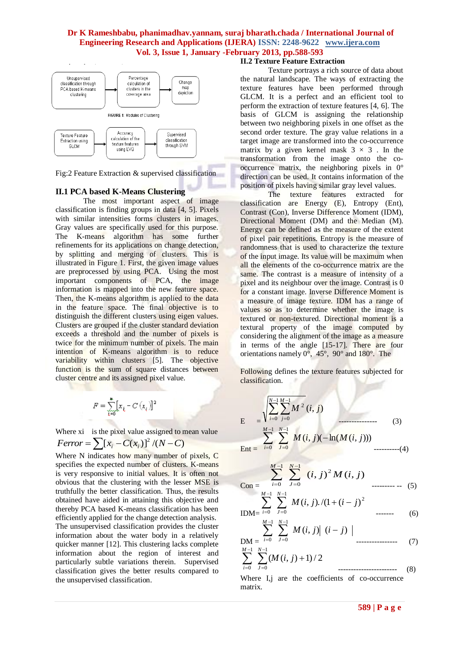

Fig:2 Feature Extraction & supervised classification

# **II.1 PCA based K-Means Clustering**

The most important aspect of image classification is finding groups in data [4, 5]. Pixels with similar intensities forms clusters in images. Gray values are specifically used for this purpose. The K-means algorithm has some further refinements for its applications on change detection, by splitting and merging of clusters. This is illustrated in Figure 1. First, the given image values are preprocessed by using PCA. Using the most important components of PCA, the image information is mapped into the new feature space. Then, the K-means algorithm is applied to the data in the feature space. The final objective is to distinguish the different clusters using eigen values. Clusters are grouped if the cluster standard deviation exceeds a threshold and the number of pixels is twice for the minimum number of pixels. The main intention of K-means algorithm is to reduce variability within clusters [5]. The objective function is the sum of square distances between cluster centre and its assigned pixel value.

$$
F=\sum_{i=0}^{n} \bigl[ x_i - C\left(x_i\right) \bigr]^2
$$

Where xi is the pixel value assigned to mean value  $Ferror = \sum [x_i - C(x_i)]^2 / (N - C)$ 

Where N indicates how many number of pixels, C specifies the expected number of clusters. K-means is very responsive to initial values. It is often not obvious that the clustering with the lesser MSE is truthfully the better classification. Thus, the results obtained have aided in attaining this objective and thereby PCA based K-means classification has been efficiently applied for the change detection analysis. The unsupervised classification provides the cluster information about the water body in a relatively quicker manner [12]. This clustering lacks complete information about the region of interest and particularly subtle variations therein. Supervised classification gives the better results compared to the unsupervised classification.

#### **II.2 Texture Feature Extraction**

Texture portrays a rich source of data about the natural landscape. The ways of extracting the texture features have been performed through GLCM. It is a perfect and an efficient tool to perform the extraction of texture features [4, 6]. The basis of GLCM is assigning the relationship between two neighboring pixels in one offset as the second order texture. The gray value relations in a target image are transformed into the co-occurrence matrix by a given kernel mask  $3 \times 3$ . In the transformation from the image onto the cooccurrence matrix, the neighboring pixels in 0° direction can be used. It contains information of the position of pixels having similar gray level values.

The texture features extracted for classification are Energy (E), Entropy (Ent), Contrast (Con), Inverse Difference Moment (IDM), Directional Moment (DM) and the Median (M). Energy can be defined as the measure of the extent of pixel pair repetitions. Entropy is the measure of randomness that is used to characterize the texture of the input image. Its value will be maximum when all the elements of the co-occurrence matrix are the same. The contrast is a measure of intensity of a pixel and its neighbour over the image. Contrast is 0 for a constant image. Inverse Difference Moment is a measure of image texture. IDM has a range of values so as to determine whether the image is textured or non-textured. Directional moment is a textural property of the image computed by considering the alignment of the image as a measure in terms of the angle [15-17]. There are four orientations namely 0°, 45°, 90° and 180°. The

Following defines the texture features subjected for classification.

$$
E = \frac{\sqrt{\sum_{i=0}^{N-1} \sum_{j=0}^{M-1} M^2} (i, j)}{\sum_{i=0}^{M-1} \sum_{j=0}^{N-1} M(i, j)(-\ln(M(i, j)))}
$$
(3)  
Ent =  $\sum_{i=0}^{M-1} \sum_{j=0}^{N-1} M(i, j)(-\ln(M(i, j)))$  (3)

$$
Con = \sum_{i=0}^{M-1} \sum_{j=0}^{N-1} (i, j)^2 M(i, j)
$$
........(5)

$$
\sum_{M=1}^{n} \sum_{j=0}^{j=0} M(i,j) \cdot (1 + (i - j)^2)
$$
........(6)

$$
\text{DM} = \sum_{i=0}^{m-1} \sum_{j=0}^{n-1} M(i,j) |(i-j) |
$$
\n
$$
\text{M-1} \quad \text{M-1} \quad \text{M-1} \quad (7)
$$

$$
\sum_{i=0} \sum_{J=0} (M(i, j) + 1)/2 \qquad \qquad \dots \dots \dots \dots \dots \dots \dots \dots \dots \tag{8}
$$

Where I,j are the coefficients of co-occurrence matrix.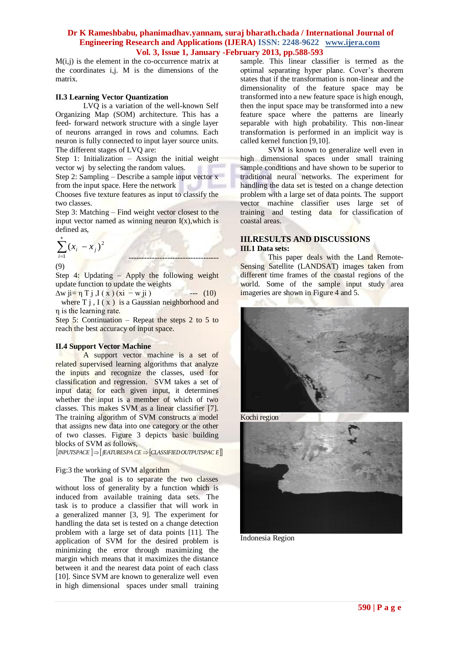M(i,j) is the element in the co-occurrence matrix at the coordinates i,j. M is the dimensions of the matrix.

#### **II.3 Learning Vector Quantization**

LVQ is a variation of the well-known Self Organizing Map (SOM) architecture. This has a feed- forward network structure with a single layer of neurons arranged in rows and columns. Each neuron is fully connected to input layer source units. The different stages of LVQ are:

Step 1: Initialization – Assign the initial weight vector wj by selecting the random values.

Step 2: Sampling – Describe a sample input vector x from the input space. Here the network

Chooses five texture features as input to classify the two classes.

Step 3: Matching – Find weight vector closest to the input vector named as winning neuron  $I(x)$ , which is defined as,

$$
\sum_{i=1}^{*} (x_i - x_j)^2
$$
 (9)

Step 4: Updating – Apply the following weight update function to update the weights

 $\Delta w$  ji= η T j ,I ( x ) (xi – w ji ) --- (10) where  $T j$ ,  $I(x)$  is a Gaussian neighborhood and η is the learning rate.

Step 5: Continuation – Repeat the steps 2 to 5 to reach the best accuracy of input space.

#### **II.4 Support Vector Machine**

A support vector machine is a set of related supervised learning algorithms that analyze the inputs and recognize the classes, used for classification and regression. SVM takes a set of input data; for each given input, it determines whether the input is a member of which of two classes. This makes SVM as a linear classifier [7]. The training algorithm of SVM constructs a model that assigns new data into one category or the other of two classes. Figure 3 depicts basic building blocks of SVM as follows,

 $I$ *INPUTSPACE*  $I \Rightarrow$   $I$ *EATURESPA CE*  $\Rightarrow$   $[CLASSIFIED OUTPUTSPACE]$ 

#### Fig:3 the working of SVM algorithm

The goal is to separate the two classes without loss of generality by a function which is induced from available training data sets. The task is to produce a classifier that will work in a generalized manner [3, 9]. The experiment for handling the data set is tested on a change detection problem with a large set of data points [11]. The application of SVM for the desired problem is minimizing the error through maximizing the margin which means that it maximizes the distance between it and the nearest data point of each class [10]. Since SVM are known to generalize well even in high dimensional spaces under small training

sample. This linear classifier is termed as the optimal separating hyper plane. Cover's theorem states that if the transformation is non-linear and the dimensionality of the feature space may be transformed into a new feature space is high enough, then the input space may be transformed into a new feature space where the patterns are linearly separable with high probability. This non-linear transformation is performed in an implicit way is called kernel function [9,10].

SVM is known to generalize well even in high dimensional spaces under small training sample conditions and have shown to be superior to traditional neural networks. The experiment for handling the data set is tested on a change detection problem with a large set of data points. The support vector machine classifier uses large set of training and testing data for classification of coastal areas.

## **III.RESULTS AND DISCUSSIONS III.1 Data sets:**

This paper deals with the Land Remote-Sensing Satellite (LANDSAT) images taken from different time frames of the coastal regions of the world. Some of the sample input study area imageries are shown in Figure 4 and 5.



Kochi region



Indonesia Region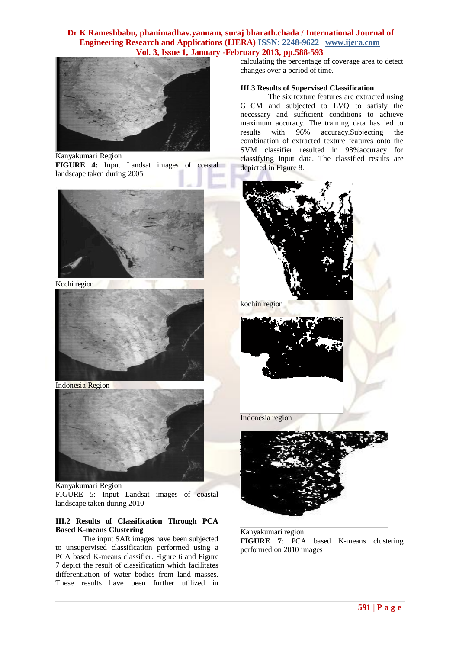

Kanyakumari Region

**FIGURE 4:** Input Landsat images of coastal landscape taken during 2005



Kochi region



Indonesia Region



Kanyakumari Region FIGURE 5: Input Landsat images of coastal landscape taken during 2010

#### **III.2 Results of Classification Through PCA Based K-means Clustering**

The input SAR images have been subjected to unsupervised classification performed using a PCA based K-means classifier. Figure 6 and Figure 7 depict the result of classification which facilitates differentiation of water bodies from land masses. These results have been further utilized in

calculating the percentage of coverage area to detect changes over a period of time.

#### **III.3 Results of Supervised Classification**

The six texture features are extracted using GLCM and subjected to LVQ to satisfy the necessary and sufficient conditions to achieve maximum accuracy. The training data has led to results with 96% accuracy.Subjecting the combination of extracted texture features onto the SVM classifier resulted in 98%accuracy for classifying input data. The classified results are depicted in Figure 8.



kochin region



Indonesia region



Kanyakumari region **FIGURE 7**: PCA based K-means clustering performed on 2010 images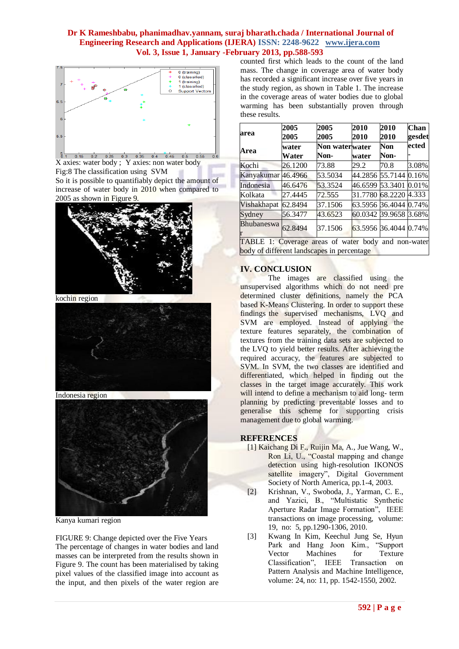

5<br>0.1 0.15 0.2 0.25 0.3 0.35 0.4 0.45 0.5 0.55 X axies: water body ; Y axies: non water body Fig:8 The classification using SVM

So it is possible to quantifiably depict the amount of increase of water body in 2010 when compared to 2005 as shown in Figure 9.



kochin region



Indonesia region



Kanya kumari region

FIGURE 9: Change depicted over the Five Years The percentage of changes in water bodies and land masses can be interpreted from the results shown in Figure 9. The count has been materialised by taking pixel values of the classified image into account as the input, and then pixels of the water region are counted first which leads to the count of the land mass. The change in coverage area of water body has recorded a significant increase over five years in the study region, as shown in Table 1. The increase in the coverage areas of water bodies due to global warming has been substantially proven through these results.

| area                                                                                              | 2005<br>2005   | 2005<br>2005           | 2010<br>2010          | 2010<br><b>2010</b> | <b>Chan</b><br>gesdet |
|---------------------------------------------------------------------------------------------------|----------------|------------------------|-----------------------|---------------------|-----------------------|
| Area                                                                                              | water<br>Water | Non waterwater<br>Non- | water                 | Non<br>Non-         | ected                 |
| Kochi                                                                                             | 26.1200        | 73.88                  | 29.2                  | 70.8                | 3.08%                 |
| Kanyakumar 46.4966                                                                                |                | 53.5034                | 44.2856 55.7144       |                     | 0.16%                 |
| Indonesia                                                                                         | 46.6476        | 53.3524                | 46.6599 53.3401       |                     | 0.01%                 |
| Kolkata                                                                                           | 27.4445        | 72.555                 | 31.7780 68.2220 4.333 |                     |                       |
| Vishakhapat                                                                                       | 62.8494        | 37.1506                | 63.5956 36.4044 0.74% |                     |                       |
| Sydney                                                                                            | 56.3477        | 43.6523                | 60.0342 39.9658 3.68% |                     |                       |
| <b>Bhubaneswa</b>                                                                                 | 62.8494        | 37.1506                | 63.5956 36.4044 0.74% |                     |                       |
| TABLE 1: Coverage areas of water body and non-water<br>body of different landscapes in percentage |                |                        |                       |                     |                       |

# **IV. CONCLUSION**

The images are classified using the unsupervised algorithms which do not need pre determined cluster definitions, namely the PCA based K-Means Clustering. In order to support these findings the supervised mechanisms, LVQ and SVM are employed. Instead of applying the texture features separately, the combination of textures from the training data sets are subjected to the LVQ to yield better results. After achieving the required accuracy, the features are subjected to SVM. In SVM, the two classes are identified and differentiated, which helped in finding out the classes in the target image accurately. This work will intend to define a mechanism to aid long- term planning by predicting preventable losses and to generalise this scheme for supporting crisis management due to global warming.

# **REFERENCES**

- [1] Kaichang Di F., Ruijin Ma, A., Jue Wang, W., Ron Li, U., "Coastal mapping and change detection using high-resolution IKONOS satellite imagery", Digital Government Society of North America, pp.1-4, 2003.
- [2] Krishnan, V., Swoboda, J., Yarman, C. E., and Yazici, B., "Multistatic Synthetic Aperture Radar Image Formation", IEEE transactions on image processing, volume: 19, no: 5, pp.1290-1306, 2010.
- [3] Kwang In Kim, Keechul Jung Se, Hyun Park and Hang Joon Kim., "Support Vector Machines for Texture Classification", IEEE Transaction on Pattern Analysis and Machine Intelligence, volume: 24, no: 11, pp. 1542-1550, 2002.